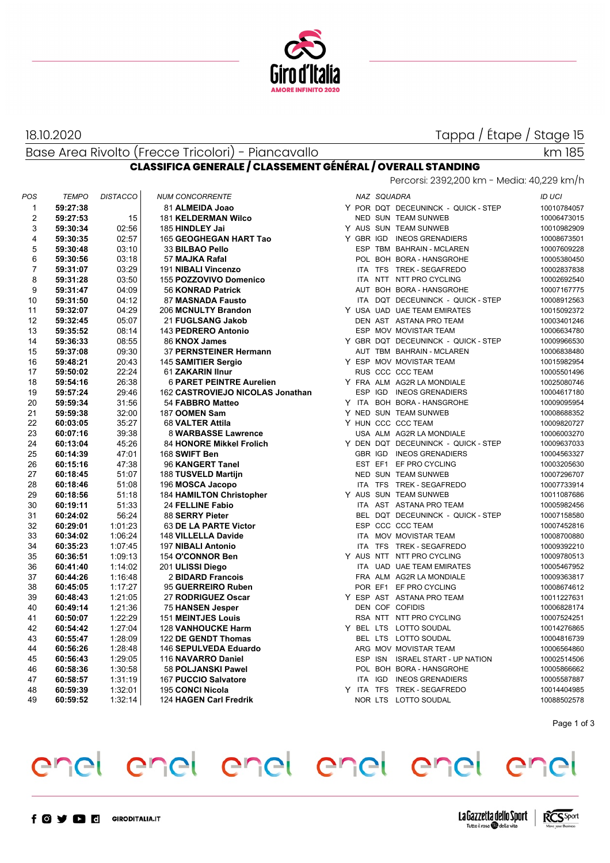

18.10.2020

Tappa / Étape / Stage 15

Base Area Rivolto (Frecce Tricolori) - Piancavallo

### **CLASSIFICA GENERALE / CLASSEMENT GÉNÉRAL / OVERALL STANDING** Percorsi: 2392,200 km - Media: 40,229 km/h

| POS            | <b>TEMPO</b> | <b>DISTACCO</b> | <b>NUM CONCORRENTE</b>           |  | NAZ SQUADRA |                                     | <b>ID UCI</b> |
|----------------|--------------|-----------------|----------------------------------|--|-------------|-------------------------------------|---------------|
| 1              | 59:27:38     |                 | 81 ALMEIDA Joao                  |  |             | Y POR DQT DECEUNINCK - QUICK - STEP | 10010784057   |
| $\overline{2}$ | 59:27:53     | 15              | <b>181 KELDERMAN Wilco</b>       |  |             | NED SUN TEAM SUNWEB                 | 10006473015   |
| 3              | 59:30:34     | 02:56           | 185 HINDLEY Jai                  |  |             | Y AUS SUN TEAM SUNWEB               | 10010982909   |
| 4              | 59:30:35     | 02:57           | 165 GEOGHEGAN HART Tao           |  |             | Y GBR IGD INEOS GRENADIERS          | 10008673501   |
| 5              | 59:30:48     | 03:10           | 33 BILBAO Pello                  |  |             | ESP TBM BAHRAIN - MCLAREN           | 10007609228   |
| 6              | 59:30:56     | 03:18           | 57 MAJKA Rafal                   |  |             | POL BOH BORA - HANSGROHE            | 10005380450   |
| $\overline{7}$ | 59:31:07     | 03:29           | 191 NIBALI Vincenzo              |  |             | ITA TFS TREK - SEGAFREDO            | 10002837838   |
| 8              | 59:31:28     | 03:50           | 155 POZZOVIVO Domenico           |  |             | ITA NTT NTT PRO CYCLING             | 10002692540   |
| 9              | 59:31:47     | 04:09           | <b>56 KONRAD Patrick</b>         |  |             | AUT BOH BORA - HANSGROHE            | 10007167775   |
| 10             | 59:31:50     | 04:12           | 87 MASNADA Fausto                |  |             | ITA DQT DECEUNINCK - QUICK - STEP   | 10008912563   |
| 11             | 59:32:07     | 04:29           | 206 MCNULTY Brandon              |  |             | Y USA UAD UAE TEAM EMIRATES         | 10015092372   |
| 12             | 59:32:45     | 05:07           | 21 FUGLSANG Jakob                |  |             | DEN AST ASTANA PRO TEAM             | 10003401246   |
| 13             | 59:35:52     | 08:14           | 143 PEDRERO Antonio              |  |             | ESP MOV MOVISTAR TEAM               | 10006634780   |
| 14             | 59:36:33     | 08:55           | 86 KNOX James                    |  |             | Y GBR DQT DECEUNINCK - QUICK - STEP | 10009966530   |
| 15             | 59:37:08     | 09:30           | 37 PERNSTEINER Hermann           |  |             | AUT TBM BAHRAIN - MCLAREN           | 10006838480   |
| 16             | 59:48:21     | 20:43           | 145 SAMITIER Sergio              |  |             | Y ESP MOV MOVISTAR TEAM             | 10015982954   |
| 17             | 59:50:02     | 22:24           | 61 ZAKARIN IInur                 |  |             | RUS CCC CCC TEAM                    | 10005501496   |
| 18             | 59:54:16     | 26:38           | <b>6 PARET PEINTRE Aurelien</b>  |  |             | Y FRA ALM AG2R LA MONDIALE          | 10025080746   |
| 19             | 59:57:24     | 29:46           | 162 CASTROVIEJO NICOLAS Jonathan |  |             | ESP IGD INEOS GRENADIERS            | 10004617180   |
| 20             | 59:59:34     | 31:56           | 54 FABBRO Matteo                 |  |             | Y ITA BOH BORA - HANSGROHE          | 10009095954   |
| 21             | 59:59:38     | 32:00           | 187 OOMEN Sam                    |  |             | Y NED SUN TEAM SUNWEB               | 10008688352   |
| 22             | 60:03:05     | 35:27           | 68 VALTER Attila                 |  |             | Y HUN CCC CCC TEAM                  | 10009820727   |
| 23             | 60:07:16     | 39:38           | 8 WARBASSE Lawrence              |  |             | USA ALM AG2R LA MONDIALE            | 10006003270   |
| 24             | 60:13:04     | 45:26           | 84 HONORE Mikkel Frolich         |  |             | Y DEN DQT DECEUNINCK - QUICK - STEP | 10009637033   |
| 25             | 60:14:39     | 47:01           | 168 SWIFT Ben                    |  |             | GBR IGD INEOS GRENADIERS            | 10004563327   |
| 26             | 60:15:16     | 47:38           | 96 KANGERT Tanel                 |  |             | EST EF1 EF PRO CYCLING              | 10003205630   |
| 27             | 60:18:45     | 51:07           | 188 TUSVELD Martijn              |  |             | NED SUN TEAM SUNWEB                 | 10007296707   |
| 28             | 60:18:46     | 51:08           | 196 MOSCA Jacopo                 |  |             | ITA TFS TREK - SEGAFREDO            | 10007733914   |
| 29             | 60:18:56     | 51:18           | 184 HAMILTON Christopher         |  |             | Y AUS SUN TEAM SUNWEB               | 10011087686   |
| 30             | 60:19:11     | 51:33           | 24 FELLINE Fabio                 |  |             | ITA AST ASTANA PRO TEAM             | 10005982456   |
| 31             | 60:24:02     | 56:24           | 88 SERRY Pieter                  |  |             | BEL DQT DECEUNINCK - QUICK - STEP   | 10007158580   |
| 32             | 60:29:01     | 1:01:23         | 63 DE LA PARTE Victor            |  |             | ESP CCC CCC TEAM                    | 10007452816   |
| 33             | 60:34:02     | 1:06:24         | 148 VILLELLA Davide              |  |             | ITA MOV MOVISTAR TEAM               | 10008700880   |
| 34             | 60:35:23     | 1:07:45         | 197 NIBALI Antonio               |  |             | ITA TFS TREK - SEGAFREDO            | 10009392210   |
| 35             | 60:36:51     | 1:09:13         | 154 O'CONNOR Ben                 |  |             | Y AUS NTT NTT PRO CYCLING           | 10009780513   |
| 36             | 60:41:40     | 1:14:02         | 201 ULISSI Diego                 |  |             | ITA UAD UAE TEAM EMIRATES           | 10005467952   |
| 37             | 60:44:26     | 1:16:48         | 2 BIDARD Francois                |  |             | FRA ALM AG2R LA MONDIALE            | 10009363817   |
| 38             | 60:45:05     | 1:17:27         | 95 GUERREIRO Ruben               |  |             | POR EF1 EF PRO CYCLING              | 10008674612   |
| 39             | 60:48:43     | 1:21:05         | 27 RODRIGUEZ Oscar               |  |             | Y ESP AST ASTANA PRO TEAM           | 10011227631   |
| 40             | 60:49:14     | 1:21:36         | <b>75 HANSEN Jesper</b>          |  |             | DEN COF COFIDIS                     | 10006828174   |
| 41             | 60:50:07     | 1:22:29         | <b>151 MEINTJES Louis</b>        |  |             | RSA NTT NTT PRO CYCLING             | 10007524251   |
| 42             | 60:54:42     | 1:27:04         | <b>128 VANHOUCKE Harm</b>        |  |             | Y BEL LTS LOTTO SOUDAL              | 10014276865   |
| 43             | 60:55:47     | 1:28:09         | 122 DE GENDT Thomas              |  |             | BEL LTS LOTTO SOUDAL                | 10004816739   |
| 44             | 60:56:26     | 1:28:48         | 146 SEPULVEDA Eduardo            |  |             | ARG MOV MOVISTAR TEAM               | 10006564860   |
| 45             | 60:56:43     | 1:29:05         | 116 NAVARRO Daniel               |  |             | ESP ISN ISRAEL START - UP NATION    | 10002514506   |
| 46             | 60:58:36     | 1:30:58         | 58 POLJANSKI Pawel               |  |             | POL BOH BORA - HANSGROHE            | 10005866662   |
| 47             | 60:58:57     | 1:31:19         | 167 PUCCIO Salvatore             |  |             | ITA IGD INEOS GRENADIERS            | 10005587887   |
| 48             | 60:59:39     | 1:32:01         | <b>195 CONCI Nicola</b>          |  |             | Y ITA TFS TREK-SEGAFREDO            | 10014404985   |
| 49             | 60:59:52     | 1:32:14         | 124 HAGEN Carl Fredrik           |  |             | NOR LTS LOTTO SOUDAL                | 10088502578   |
|                |              |                 |                                  |  |             |                                     |               |

Page 1 of 3

## enel enel enel enel enel enel



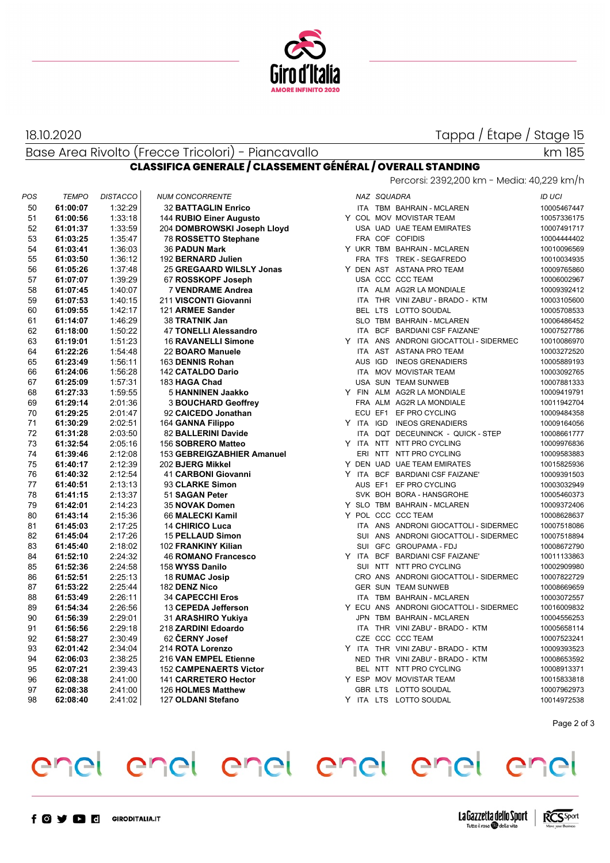

#### 18.10.2020

Tappa / Étape / Stage 15

Base Area Rivolto (Frecce Tricolori) - Piancavallo

| $\mathbf{I}$<br>ı<br>-- | $\sim$ |
|-------------------------|--------|
|                         |        |

### **CLASSIFICA GENERALE / CLASSEMENT GÉNÉRAL / OVERALL STANDING**

|     |              |                 |                               |            |             | Percorsi: 2392,200 km - Media: 40,229 km/h |               |
|-----|--------------|-----------------|-------------------------------|------------|-------------|--------------------------------------------|---------------|
| POS | <b>TEMPO</b> | <b>DISTACCO</b> | <b>NUM CONCORRENTE</b>        |            | NAZ SQUADRA |                                            | <b>ID UCI</b> |
| 50  | 61:00:07     | 1:32:29         | <b>32 BATTAGLIN Enrico</b>    |            |             | ITA TBM BAHRAIN - MCLAREN                  | 10005467447   |
| 51  | 61:00:56     | 1:33:18         | 144 RUBIO Einer Augusto       |            |             | Y COL MOV MOVISTAR TEAM                    | 10057336175   |
| 52  | 61:01:37     | 1:33:59         | 204 DOMBROWSKI Joseph Lloyd   |            |             | USA UAD UAE TEAM EMIRATES                  | 10007491717   |
| 53  | 61:03:25     | 1:35:47         | 78 ROSSETTO Stephane          |            |             | FRA COF COFIDIS                            | 10004444402   |
| 54  | 61:03:41     | 1:36:03         | <b>36 PADUN Mark</b>          |            |             | Y UKR TBM BAHRAIN - MCLAREN                | 10010096569   |
| 55  | 61:03:50     | 1:36:12         | 192 BERNARD Julien            |            |             | FRA TFS TREK - SEGAFREDO                   | 10010034935   |
| 56  | 61:05:26     | 1:37:48         | 25 GREGAARD WILSLY Jonas      |            |             | Y DEN AST ASTANA PRO TEAM                  | 10009765860   |
| 57  | 61:07:07     | 1:39.29         | 67 ROSSKOPF Joseph            |            |             | USA CCC CCC TEAM                           | 10006002967   |
| 58  | 61:07:45     | 1:40:07         | <b>7 VENDRAME Andrea</b>      |            |             | ITA ALM AG2R LA MONDIALE                   | 10009392412   |
| 59  | 61:07:53     | 1:40:15         | 211 VISCONTI Giovanni         |            |             | ITA THR VINI ZABU' - BRADO - KTM           | 10003105600   |
| 60  | 61:09:55     | 1:42:17         | 121 ARMEE Sander              |            |             | BEL LTS LOTTO SOUDAL                       | 10005708533   |
| 61  | 61:14:07     | 1.46:29         | 38 TRATNIK Jan                |            |             | SLO TBM BAHRAIN - MCLAREN                  | 10006486452   |
| 62  | 61:18:00     | 1:50:22         | <b>47 TONELLI Alessandro</b>  |            |             | ITA BCF BARDIANI CSF FAIZANE'              | 10007527786   |
| 63  | 61:19:01     | 1:51:23         | <b>16 RAVANELLI Simone</b>    |            |             | Y ITA ANS ANDRONI GIOCATTOLI - SIDERMEC    | 10010086970   |
| 64  | 61:22:26     | 1:54:48         | 22 BOARO Manuele              |            |             | ITA AST ASTANA PRO TEAM                    | 10003272520   |
| 65  | 61:23:49     | 1:56:11         | 163 DENNIS Rohan              |            |             | AUS IGD INEOS GRENADIERS                   | 10005889193   |
| 66  | 61:24:06     | 1:56:28         | 142 CATALDO Dario             |            |             | ITA MOV MOVISTAR TEAM                      | 10003092765   |
| 67  | 61:25:09     | 1:57:31         | 183 HAGA Chad                 |            |             | USA SUN TEAM SUNWEB                        | 10007881333   |
| 68  | 61:27:33     | 1:59:55         | 5 HANNINEN Jaakko             |            |             | Y FIN ALM AG2R LA MONDIALE                 | 10009419791   |
| 69  | 61:29:14     | 2:01:36         | <b>3 BOUCHARD Geoffrey</b>    |            |             | FRA ALM AG2R LA MONDIALE                   | 10011942704   |
| 70  | 61:29:25     | 2:01:47         | 92 CAICEDO Jonathan           |            |             | ECU EF1 EF PRO CYCLING                     | 10009484358   |
| 71  | 61:30:29     | 2:02:51         | 164 GANNA Filippo             |            |             | Y ITA IGD INEOS GRENADIERS                 | 10009164056   |
| 72  | 61:31:28     | 2:03:50         | 82 BALLERINI Davide           | <b>ITA</b> |             | DQT DECEUNINCK - QUICK - STEP              | 10008661777   |
| 73  | 61:32:54     | 2:05:16         | 156 SOBRERO Matteo            |            |             | Y ITA NTT NTT PRO CYCLING                  | 10009976836   |
| 74  | 61:39:46     | 2:12:08         | 153 GEBREIGZABHIER Amanuel    |            |             | ERI NTT NTT PRO CYCLING                    | 10009583883   |
| 75  | 61:40:17     | 2:12:39         | 202 BJERG Mikkel              |            |             | Y DEN UAD UAE TEAM EMIRATES                | 10015825936   |
| 76  | 61:40:32     | 2:12:54         | 41 CARBONI Giovanni           |            |             | Y ITA BCF BARDIANI CSF FAIZANE'            | 10009391503   |
| 77  | 61:40:51     | 2:13:13         | 93 CLARKE Simon               |            |             | AUS EF1 EF PRO CYCLING                     | 10003032949   |
| 78  | 61:41:15     | 2:13:37         | 51 SAGAN Peter                |            |             | SVK BOH BORA - HANSGROHE                   | 10005460373   |
| 79  | 61:42:01     | 2:14:23         | 35 NOVAK Domen                |            |             | Y SLO TBM BAHRAIN - MCLAREN                | 10009372406   |
| 80  | 61:43:14     | 2:15:36         | 66 MALECKI Kamil              |            |             | Y POL CCC CCC TEAM                         | 10008628637   |
| 81  | 61:45:03     | 2:17:25         | 14 CHIRICO Luca               |            |             | ITA ANS ANDRONI GIOCATTOLI - SIDERMEC      | 10007518086   |
| 82  | 61:45:04     | 2:17:26         | <b>15 PELLAUD Simon</b>       |            |             | SUI ANS ANDRONI GIOCATTOLI - SIDERMEC      | 10007518894   |
| 83  | 61:45:40     | 2:18:02         | 102 FRANKINY Kilian           |            |             | SUI GFC GROUPAMA - FDJ                     | 10008672790   |
| 84  | 61:52:10     | 2:24:32         | <b>46 ROMANO Francesco</b>    |            |             | Y ITA BCF BARDIANI CSF FAIZANE'            | 10011133863   |
| 85  | 61:52:36     | 2:24:58         | 158 WYSS Danilo               |            |             | SUI NTT NTT PRO CYCLING                    | 10002909980   |
| 86  | 61:52:51     | 2:25:13         | 18 RUMAC Josip                |            |             | CRO ANS ANDRONI GIOCATTOLI - SIDERMEC      | 10007822729   |
| 87  | 61:53:22     | 2:25:44         | 182 DENZ Nico                 |            |             | GER SUN TEAM SUNWEB                        | 10008669659   |
| 88  | 61:53:49     | 2:26:11         | <b>34 CAPECCHI Eros</b>       |            |             | ITA TBM BAHRAIN - MCLAREN                  | 10003072557   |
| 89  | 61:54:34     | 2:26:56         | 13 CEPEDA Jefferson           |            |             | Y ECU ANS ANDRONI GIOCATTOLI - SIDERMEC    | 10016009832   |
| 90  | 61:56:39     | 2:29:01         | 31 ARASHIRO Yukiya            |            |             | JPN TBM BAHRAIN - MCLAREN                  | 10004556253   |
| 91  | 61:56:56     | 2:29:18         | 218 ZARDINI Edoardo           |            |             | ITA THR VINI ZABU' - BRADO - KTM           | 10005658114   |
| 92  | 61:58:27     | 2:30:49         | 62 CERNY Josef                |            |             | CZE CCC CCC TEAM                           | 10007523241   |
| 93  | 62:01:42     | 2:34:04         | 214 ROTA Lorenzo              |            |             | Y ITA THR VINI ZABU' - BRADO - KTM         | 10009393523   |
| 94  | 62:06:03     | 2:38:25         | 216 VAN EMPEL Etienne         |            |             | NED THR VINI ZABU' - BRADO - KTM           | 10008653592   |
| 95  | 62:07:21     | 2:39:43         | <b>152 CAMPENAERTS Victor</b> |            |             | BEL NTT NTT PRO CYCLING                    | 10008913371   |
| 96  | 62:08:38     | 2:41:00         | 141 CARRETERO Hector          |            |             | Y ESP MOV MOVISTAR TEAM                    | 10015833818   |
| 97  | 62:08:38     | 2:41:00         | 126 HOLMES Matthew            |            |             | GBR LTS LOTTO SOUDAL                       | 10007962973   |
| 98  | 62:08:40     | 2:41:02         | 127 OLDANI Stefano            |            |             | Y ITA LTS LOTTO SOUDAL                     | 10014972538   |

Page 2 of 3

## enel enel enel enel enel enel